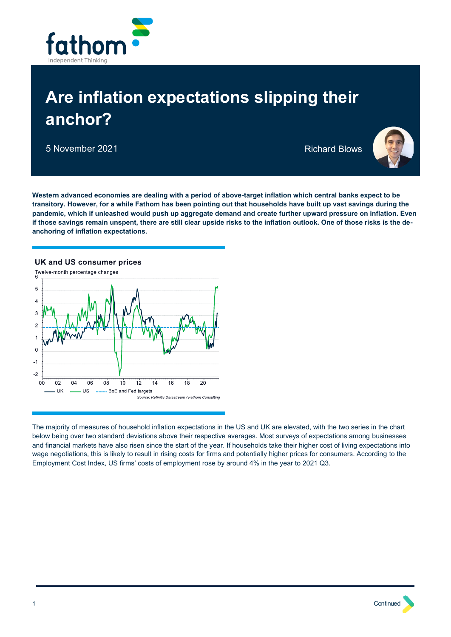

# **Are inflation expectations slipping their anchor?**

5 November 2021 **Richard Blows** 



**Western advanced economies are dealing with a period of above-target inflation which central banks expect to be transitory. However, for a while Fathom has been pointing out that households have built up vast savings during the pandemic, which if unleashed would push up aggregate demand and create further upward pressure on inflation. Even if those savings remain unspent, there are still clear upside risks to the inflation outlook. One of those risks is the deanchoring of inflation expectations.**



The majority of measures of household inflation expectations in the US and UK are elevated, with the two series in the chart below being over two standard deviations above their respective averages. Most surveys of expectations among businesses and financial markets have also risen since the start of the year. If households take their higher cost of living expectations into wage negotiations, this is likely to result in rising costs for firms and potentially higher prices for consumers. According to the Employment Cost Index, US firms' costs of employment rose by around 4% in the year to 2021 Q3.

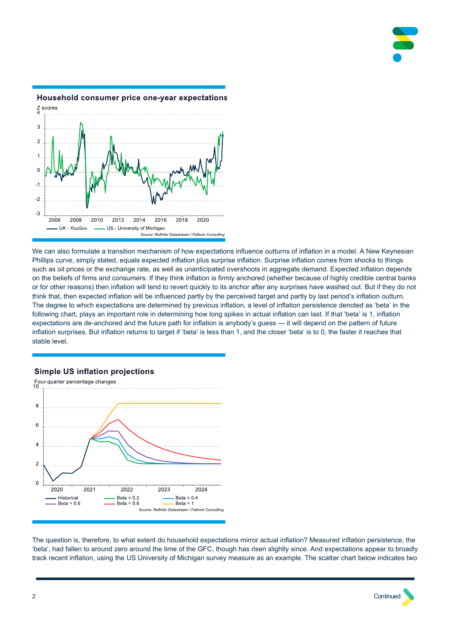



# Household consumer price one-year expectations

We can also formulate a transition mechanism of how expectations influence outturns of inflation in a model. A New Keynesian Phillips curve, simply stated, equals expected inflation plus surprise inflation. Surprise inflation comes from shocks to things such as oil prices or the exchange rate, as well as unanticipated overshoots in aggregate demand. Expected inflation depends on the beliefs of firms and consumers. If they think inflation is firmly anchored (whether because of highly credible central banks or for other reasons) then inflation will tend to revert quickly to its anchor after any surprises have washed out. But if they do not think that, then expected inflation will be influenced partly by the perceived target and partly by last period's inflation outturn. The degree to which expectations are determined by previous inflation, a level of inflation persistence denoted as 'beta' in the following chart, plays an important role in determining how long spikes in actual inflation can last. If that 'beta' is 1, inflation expectations are de-anchored and the future path for inflation is anybody's guess — it will depend on the pattern of future inflation surprises. But inflation returns to target if 'beta' is less than 1, and the closer 'beta' is to 0, the faster it reaches that stable level.

## **Simple US inflation projections**



The question is, therefore, to what extent do household expectations mirror actual inflation? Measured inflation persistence, the 'beta', had fallen to around zero around the time of the GFC, though has risen slightly since. And expectations appear to broadly track recent inflation, using the US University of Michigan survey measure as an example. The scatter chart below indicates two